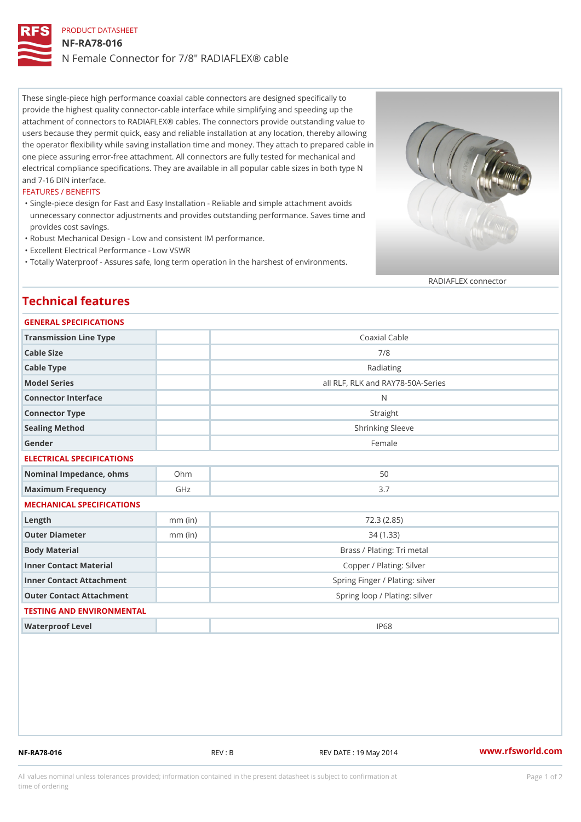## PRODUCT DATASHEET NF-RA78-016 N Female Connector for 7/8" RADIAFLEX® cable

These single-piece high performance coaxial cable connectors are designed specifically to provide the highest quality connector-cable interface while simplifying and speeding up the attachment of connectors to RADIAFLEX® cables. The connectors provide outstanding value to users because they permit quick, easy and reliable installation at any location, thereby allowing the operator flexibility while saving installation time and money. They attach to prepared cable in one piece assuring error-free attachment. All connectors are fully tested for mechanical and electrical compliance specifications. They are available in all popular cable sizes in both type N and 7-16 DIN interface.

#### FEATURES / BENEFITS

- Single-piece design for Fast and Easy Installation Reliable and simple attachment avoids " unnecessary connector adjustments and provides outstanding performance. Saves time and provides cost savings.
- "Robust Mechanical Design Low and consistent IM performance.
- "Excellent Electrical Performance Low VSWR
- "Totally Waterproof Assures safe, long term operation in the harshest of environments.

#### RADIAFLEX connector

## Technical features

| GENERAL SPECIFICATIONS       |           |                                   |
|------------------------------|-----------|-----------------------------------|
| Transmission Line Type       |           | Coaxial Cable                     |
| Cable Size                   |           | 7/8                               |
| Cable Type                   |           | Radiating                         |
| Model Series                 |           | all RLF, RLK and RAY78-50A-Series |
| Connector Interface          |           | N                                 |
| Connector Type               |           | Straight                          |
| Sealing Method               |           | Shrinking Sleeve                  |
| Gender                       |           | Female                            |
| ELECTRICAL SPECIFICATIONS    |           |                                   |
| Nominal Impedance, ohins Ohm |           | 50                                |
| Maximum Frequency            | GHz       | 3.7                               |
| MECHANICAL SPECIFICATIONS    |           |                                   |
| $L$ ength                    | $mm$ (in) | 72.3(2.85)                        |
| Outer Diameter               | $mm$ (in) | 34(1.33)                          |
| Body Material                |           | Brass / Plating: Tri metal        |
| Inner Contact Material       |           | Copper / Plating: Silver          |
| Inner Contact Attachment     |           | Spring Finger / Plating: silver   |
| Outer Contact Attachment     |           | Spring loop / Plating: silver     |
| TESTING AND ENVIRONMENTAL    |           |                                   |
| Waterproof Level             |           | IP68                              |

NF-RA78-016 REV : B REV DATE : 19 May 2014 [www.](https://www.rfsworld.com)rfsworld.com

All values nominal unless tolerances provided; information contained in the present datasheet is subject to Pcapgeign manation time of ordering